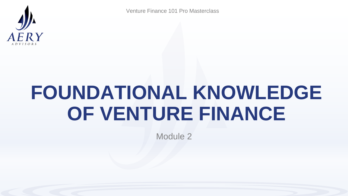

# **FOUNDATIONAL KNOWLEDGE OF VENTURE FINANCE**

Module 2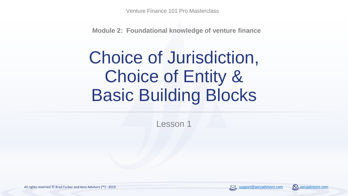**Module 2: Foundational knowledge of venture finance**

## Choice of Jurisdiction, Choice of Entity & Basic Building Blocks

Lesson 1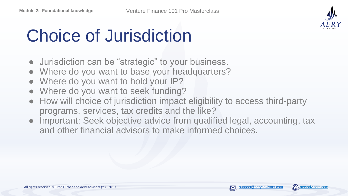

# Choice of Jurisdiction

- Jurisdiction can be "strategic" to your business.
- Where do you want to base your headquarters?
- Where do you want to hold your IP?
- Where do you want to seek funding?
- How will choice of jurisdiction impact eligibility to access third-party programs, services, tax credits and the like?
- Important: Seek objective advice from qualified legal, accounting, tax and other financial advisors to make informed choices.

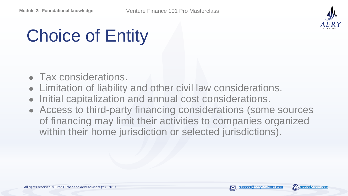

# Choice of Entity

- Tax considerations.
- Limitation of liability and other civil law considerations.
- Initial capitalization and annual cost considerations.
- Access to third-party financing considerations (some sources of financing may limit their activities to companies organized within their home jurisdiction or selected jurisdictions).

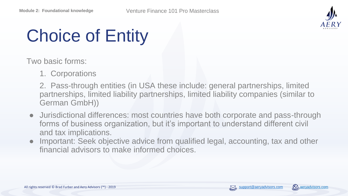

# Choice of Entity

Two basic forms:

1. Corporations

2. Pass-through entities (in USA these include: general partnerships, limited partnerships, limited liability partnerships, limited liability companies (similar to German GmbH))

- Jurisdictional differences: most countries have both corporate and pass-through forms of business organization, but it's important to understand different civil and tax implications.
- Important: Seek objective advice from qualified legal, accounting, tax and other financial advisors to make informed choices.

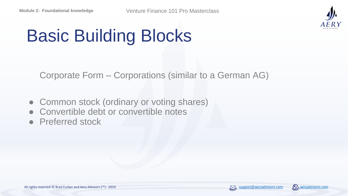

# Basic Building Blocks

Corporate Form – Corporations (similar to a German AG)

- Common stock (ordinary or voting shares)
- Convertible debt or convertible notes
- Preferred stock

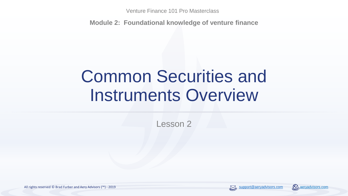**Module 2: Foundational knowledge of venture finance**

### Common Securities and Instruments Overview

Lesson 2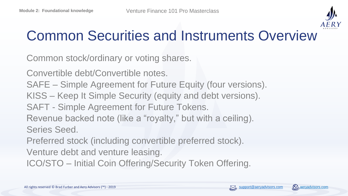

### Common Securities and Instruments Overview

Common stock/ordinary or voting shares.

Convertible debt/Convertible notes.

SAFE – Simple Agreement for Future Equity (four versions).

KISS – Keep It Simple Security (equity and debt versions).

SAFT - Simple Agreement for Future Tokens.

Revenue backed note (like a "royalty," but with a ceiling).

Series Seed.

Preferred stock (including convertible preferred stock).

Venture debt and venture leasing.

ICO/STO – Initial Coin Offering/Security Token Offering.

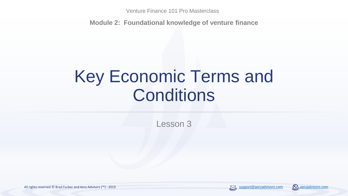**Module 2: Foundational knowledge of venture finance**

## Key Economic Terms and **Conditions**

Lesson 3

All rights reserved © Brad Furber and Aery Advisors (™) - 2019 support © [aeryadvisors.com](https://aeryadvisors.com/) and Aery Advisors.com and Aery Advisors.com and Aery Advisors.com and Aery Advisors.com and Aery Advisors.com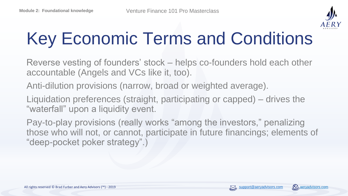

# Key Economic Terms and Conditions

Reverse vesting of founders' stock – helps co-founders hold each other accountable (Angels and VCs like it, too).

Anti-dilution provisions (narrow, broad or weighted average).

Liquidation preferences (straight, participating or capped) – drives the "waterfall" upon a liquidity event.

Pay-to-play provisions (really works "among the investors," penalizing those who will not, or cannot, participate in future financings; elements of "deep-pocket poker strategy".)

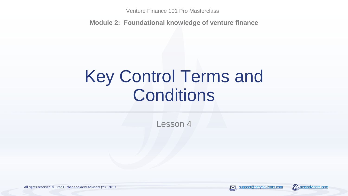**Module 2: Foundational knowledge of venture finance**

## Key Control Terms and **Conditions**

Lesson 4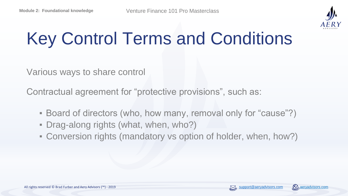

# Key Control Terms and Conditions

Various ways to share control

Contractual agreement for "protective provisions", such as:

- Board of directors (who, how many, removal only for "cause"?)
- Drag-along rights (what, when, who?)
- Conversion rights (mandatory vs option of holder, when, how?)

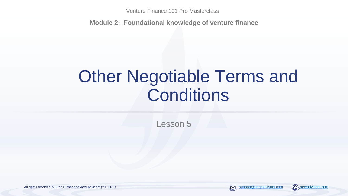**Module 2: Foundational knowledge of venture finance**

## Other Negotiable Terms and **Conditions**

Lesson 5

All rights reserved © Brad Furber and Aery Advisors (™) - 2019 support and application and application and application and application and application and application and application and all rights reserved © Brad Aeryadv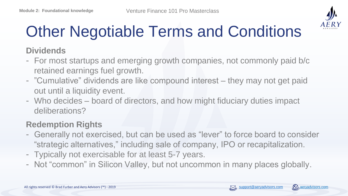

#### **Dividends**

- For most startups and emerging growth companies, not commonly paid b/c retained earnings fuel growth.
- "Cumulative" dividends are like compound interest they may not get paid out until a liquidity event.
- Who decides board of directors, and how might fiduciary duties impact deliberations?

#### **Redemption Rights**

- Generally not exercised, but can be used as "lever" to force board to consider "strategic alternatives," including sale of company, IPO or recapitalization.
- Typically not exercisable for at least 5-7 years.
- Not "common" in Silicon Valley, but not uncommon in many places globally.

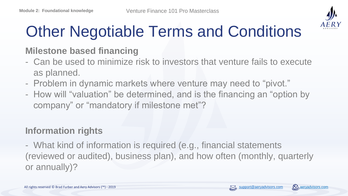

#### **Milestone based financing**

- Can be used to minimize risk to investors that venture fails to execute as planned.
- Problem in dynamic markets where venture may need to "pivot."
- How will "valuation" be determined, and is the financing an "option by company" or "mandatory if milestone met"?

#### **Information rights**

- What kind of information is required (e.g., financial statements (reviewed or audited), business plan), and how often (monthly, quarterly or annually)?

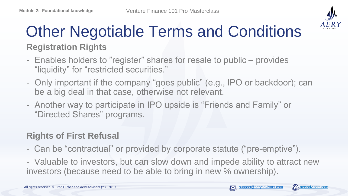

### **Registration Rights** Other Negotiable Terms and Conditions

- Enables holders to "register" shares for resale to public provides "liquidity" for "restricted securities."
- Only important if the company "goes public" (e.g., IPO or backdoor); can be a big deal in that case, otherwise not relevant.
- Another way to participate in IPO upside is "Friends and Family" or "Directed Shares" programs.

#### **Rights of First Refusal**

- Can be "contractual" or provided by corporate statute ("pre-emptive").
- Valuable to investors, but can slow down and impede ability to attract new investors (because need to be able to bring in new % ownership).

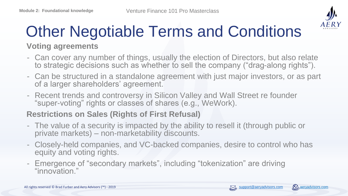

#### **Voting agreements**

- Can cover any number of things, usually the election of Directors, but also relate to strategic decisions such as whether to sell the company ("drag-along rights").
- Can be structured in a standalone agreement with just major investors, or as part of a larger shareholders' agreement.
- Recent trends and controversy in Silicon Valley and Wall Street re founder "super-voting" rights or classes of shares (e.g., WeWork).

#### **Restrictions on Sales (Rights of First Refusal)**

- The value of a security is impacted by the ability to resell it (through public or private markets) – non-marketability discounts.
- Closely-held companies, and VC-backed companies, desire to control who has equity and voting rights.
- Emergence of "secondary markets", including "tokenization" are driving "innovation."

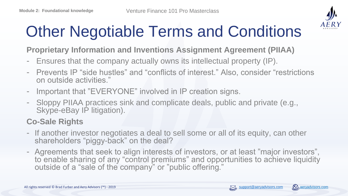

**Proprietary Information and Inventions Assignment Agreement (PIIAA)**

- Ensures that the company actually owns its intellectual property (IP).
- Prevents IP "side hustles" and "conflicts of interest." Also, consider "restrictions on outside activities."
- Important that "EVERYONE" involved in IP creation signs.
- Sloppy PIIAA practices sink and complicate deals, public and private (e.g., Skype-eBay IP litigation).

#### **Co-Sale Rights**

- If another investor negotiates a deal to sell some or all of its equity, can other shareholders "piggy-back" on the deal?
- Agreements that seek to align interests of investors, or at least "major investors", to enable sharing of any "control premiums" and opportunities to achieve liquidity outside of a "sale of the company" or "public offering."

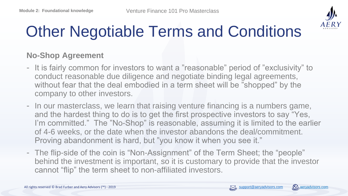

#### **No-Shop Agreement**

- It is fairly common for investors to want a "reasonable" period of "exclusivity" to conduct reasonable due diligence and negotiate binding legal agreements, without fear that the deal embodied in a term sheet will be "shopped" by the company to other investors.
- In our masterclass, we learn that raising venture financing is a numbers game, and the hardest thing to do is to get the first prospective investors to say "Yes, I'm committed." The "No-Shop" is reasonable, assuming it is limited to the earlier of 4-6 weeks, or the date when the investor abandons the deal/commitment. Proving abandonment is hard, but "you know it when you see it."
- The flip-side of the coin is "Non-Assignment" of the Term Sheet; the "people" behind the investment is important, so it is customary to provide that the investor cannot "flip" the term sheet to non-affiliated investors.

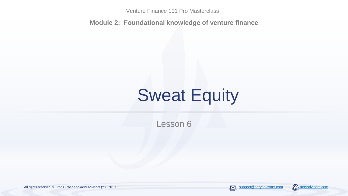**Module 2: Foundational knowledge of venture finance**

## Sweat Equity

Lesson 6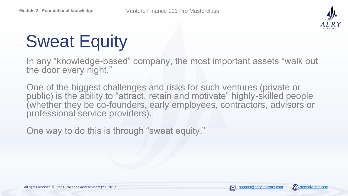

# Sweat Equity

In any "knowledge-based" company, the most important assets "walk out the door every night."

One of the biggest challenges and risks for such ventures (private or public) is the ability to "attract, retain and motivate" highly-skilled people (whether they be co-founders, early employees, contractors, advisors or professional service providers).

One way to do this is through "sweat equity."

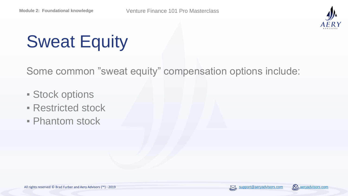

# Sweat Equity

Some common "sweat equity" compensation options include:

- **Exercise Stock options**
- **Restricted stock**
- Phantom stock

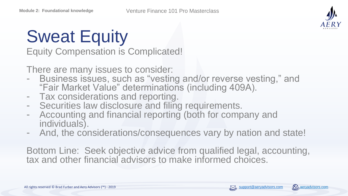

# Sweat Equity

Equity Compensation is Complicated!

There are many issues to consider:

- Business issues, such as "vesting and/or reverse vesting," and "Fair Market Value" determinations (including 409A).
- Tax considerations and reporting.
- Securities law disclosure and filing requirements.
- Accounting and financial reporting (both for company and individuals).
- And, the considerations/consequences vary by nation and state!

Bottom Line: Seek objective advice from qualified legal, accounting, tax and other financial advisors to make informed choices.

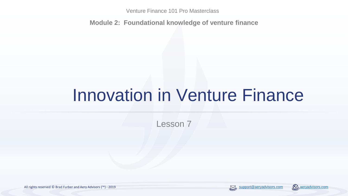**Module 2: Foundational knowledge of venture finance**

## Innovation in Venture Finance

Lesson 7

All rights reserved © Brad Furber and Aery Advisors (™) - 2019 support © [aeryadvisors.com](https://aeryadvisors.com/) and Aery Advisors.com and Aery Advisors.com and Aery Advisors.com and Aery Advisors.com and Aery Advisors.com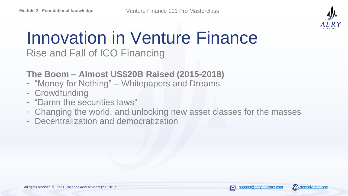

### Innovation in Venture Finance Rise and Fall of ICO Financing

#### **The Boom – Almost US\$20B Raised (2015-2018)**

- "Money for Nothing" Whitepapers and Dreams
- Crowdfunding
- "Damn the securities laws"
- Changing the world, and unlocking new asset classes for the masses
- Decentralization and democratization

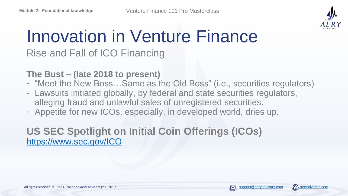

### Innovation in Venture Finance Rise and Fall of ICO Financing

**The Bust – (late 2018 to present)**

- "Meet the New Boss…Same as the Old Boss" (i.e., securities regulators)
- Lawsuits initiated globally, by federal and state securities regulators, alleging fraud and unlawful sales of unregistered securities.
- Appetite for new ICOs, especially, in developed world, dries up.

#### **US SEC Spotlight on Initial Coin Offerings (ICOs)** <https://www.sec.gov/ICO>

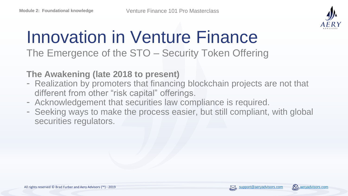

### Innovation in Venture Finance The Emergence of the STO – Security Token Offering

**The Awakening (late 2018 to present)**

- Realization by promoters that financing blockchain projects are not that different from other "risk capital" offerings.
- Acknowledgement that securities law compliance is required.
- Seeking ways to make the process easier, but still compliant, with global securities regulators.

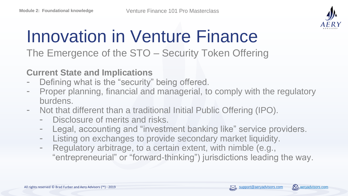

### Innovation in Venture Finance The Emergence of the STO – Security Token Offering

**Current State and Implications**

- Defining what is the "security" being offered.
- Proper planning, financial and managerial, to comply with the regulatory burdens.
- Not that different than a traditional Initial Public Offering (IPO).
	- Disclosure of merits and risks.
	- Legal, accounting and "investment banking like" service providers.
	- Listing on exchanges to provide secondary market liquidity.
	- Regulatory arbitrage, to a certain extent, with nimble (e.g., "entrepreneurial" or "forward-thinking") jurisdictions leading the way.

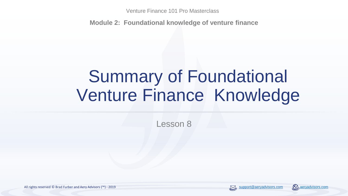**Module 2: Foundational knowledge of venture finance**

## Summary of Foundational Venture Finance Knowledge

Lesson 8

All rights reserved © Brad Furber and Aery Advisors (™) - 2019 support and application and application and application and application and application and application and application and all rights reserved © Brad Furber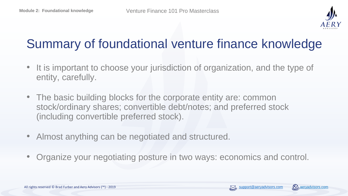

### Summary of foundational venture finance knowledge

- It is important to choose your jurisdiction of organization, and the type of entity, carefully.
- The basic building blocks for the corporate entity are: common stock/ordinary shares; convertible debt/notes; and preferred stock (including convertible preferred stock).
- Almost anything can be negotiated and structured.
- Organize your negotiating posture in two ways: economics and control.